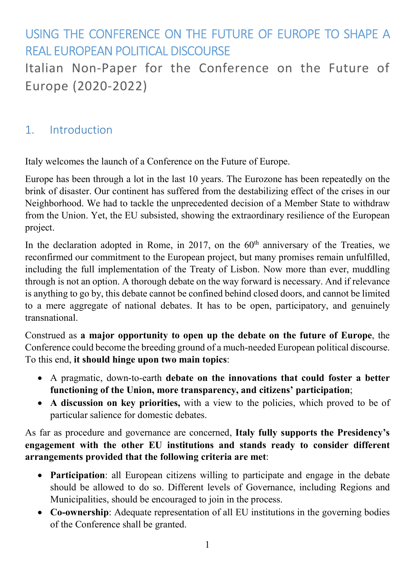# USING THE CONFERENCE ON THE FUTURE OF EUROPE TO SHAPE A REAL EUROPEAN POLITICAL DISCOURSE

Italian Non-Paper for the Conference on the Future of Europe (2020-2022)

# 1. Introduction

Italy welcomes the launch of a Conference on the Future of Europe.

Europe has been through a lot in the last 10 years. The Eurozone has been repeatedly on the brink of disaster. Our continent has suffered from the destabilizing effect of the crises in our Neighborhood. We had to tackle the unprecedented decision of a Member State to withdraw from the Union. Yet, the EU subsisted, showing the extraordinary resilience of the European project.

In the declaration adopted in Rome, in 2017, on the  $60<sup>th</sup>$  anniversary of the Treaties, we reconfirmed our commitment to the European project, but many promises remain unfulfilled, including the full implementation of the Treaty of Lisbon. Now more than ever, muddling through is not an option. A thorough debate on the way forward is necessary. And if relevance is anything to go by, this debate cannot be confined behind closed doors, and cannot be limited to a mere aggregate of national debates. It has to be open, participatory, and genuinely transnational.

Construed as a major opportunity to open up the debate on the future of Europe, the Conference could become the breeding ground of a much-needed European political discourse. To this end, it should hinge upon two main topics:

- A pragmatic, down-to-earth debate on the innovations that could foster a better functioning of the Union, more transparency, and citizens' participation;
- A discussion on key priorities, with a view to the policies, which proved to be of particular salience for domestic debates.

As far as procedure and governance are concerned, Italy fully supports the Presidency's engagement with the other EU institutions and stands ready to consider different arrangements provided that the following criteria are met:

- Participation: all European citizens willing to participate and engage in the debate should be allowed to do so. Different levels of Governance, including Regions and Municipalities, should be encouraged to join in the process.
- Co-ownership: Adequate representation of all EU institutions in the governing bodies of the Conference shall be granted.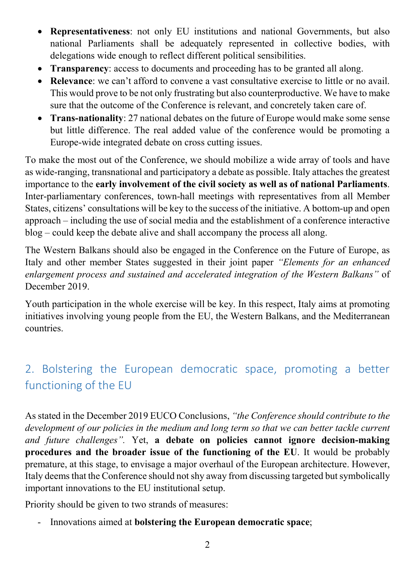- Representativeness: not only EU institutions and national Governments, but also national Parliaments shall be adequately represented in collective bodies, with delegations wide enough to reflect different political sensibilities.
- Transparency: access to documents and proceeding has to be granted all along.
- Relevance: we can't afford to convene a vast consultative exercise to little or no avail. This would prove to be not only frustrating but also counterproductive. We have to make sure that the outcome of the Conference is relevant, and concretely taken care of.
- Trans-nationality: 27 national debates on the future of Europe would make some sense but little difference. The real added value of the conference would be promoting a Europe-wide integrated debate on cross cutting issues.

To make the most out of the Conference, we should mobilize a wide array of tools and have as wide-ranging, transnational and participatory a debate as possible. Italy attaches the greatest importance to the early involvement of the civil society as well as of national Parliaments. Inter-parliamentary conferences, town-hall meetings with representatives from all Member States, citizens' consultations will be key to the success of the initiative. A bottom-up and open approach – including the use of social media and the establishment of a conference interactive blog – could keep the debate alive and shall accompany the process all along.

The Western Balkans should also be engaged in the Conference on the Future of Europe, as Italy and other member States suggested in their joint paper "Elements for an enhanced enlargement process and sustained and accelerated integration of the Western Balkans" of December 2019.

Youth participation in the whole exercise will be key. In this respect, Italy aims at promoting initiatives involving young people from the EU, the Western Balkans, and the Mediterranean countries.

# 2. Bolstering the European democratic space, promoting a better functioning of the EU

As stated in the December 2019 EUCO Conclusions, "the Conference should contribute to the development of our policies in the medium and long term so that we can better tackle current and future challenges". Yet, a debate on policies cannot ignore decision-making procedures and the broader issue of the functioning of the EU. It would be probably premature, at this stage, to envisage a major overhaul of the European architecture. However, Italy deems that the Conference should not shy away from discussing targeted but symbolically important innovations to the EU institutional setup.

Priority should be given to two strands of measures:

Innovations aimed at **bolstering the European democratic space**;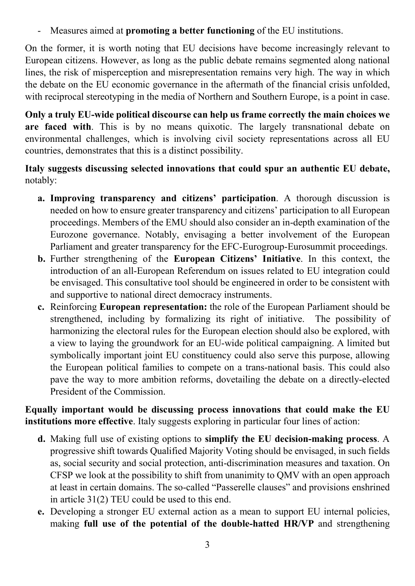Measures aimed at **promoting a better functioning** of the EU institutions.

On the former, it is worth noting that EU decisions have become increasingly relevant to European citizens. However, as long as the public debate remains segmented along national lines, the risk of misperception and misrepresentation remains very high. The way in which the debate on the EU economic governance in the aftermath of the financial crisis unfolded, with reciprocal stereotyping in the media of Northern and Southern Europe, is a point in case.

Only a truly EU-wide political discourse can help us frame correctly the main choices we are faced with. This is by no means quixotic. The largely transnational debate on environmental challenges, which is involving civil society representations across all EU countries, demonstrates that this is a distinct possibility.

### Italy suggests discussing selected innovations that could spur an authentic EU debate, notably:

- a. Improving transparency and citizens' participation. A thorough discussion is needed on how to ensure greater transparency and citizens' participation to all European proceedings. Members of the EMU should also consider an in-depth examination of the Eurozone governance. Notably, envisaging a better involvement of the European Parliament and greater transparency for the EFC-Eurogroup-Eurosummit proceedings.
- b. Further strengthening of the European Citizens' Initiative. In this context, the introduction of an all-European Referendum on issues related to EU integration could be envisaged. This consultative tool should be engineered in order to be consistent with and supportive to national direct democracy instruments.
- c. Reinforcing European representation: the role of the European Parliament should be strengthened, including by formalizing its right of initiative. The possibility of harmonizing the electoral rules for the European election should also be explored, with a view to laying the groundwork for an EU-wide political campaigning. A limited but symbolically important joint EU constituency could also serve this purpose, allowing the European political families to compete on a trans-national basis. This could also pave the way to more ambition reforms, dovetailing the debate on a directly-elected President of the Commission.

Equally important would be discussing process innovations that could make the EU institutions more effective. Italy suggests exploring in particular four lines of action:

- d. Making full use of existing options to simplify the EU decision-making process. A progressive shift towards Qualified Majority Voting should be envisaged, in such fields as, social security and social protection, anti-discrimination measures and taxation. On CFSP we look at the possibility to shift from unanimity to QMV with an open approach at least in certain domains. The so-called "Passerelle clauses" and provisions enshrined in article 31(2) TEU could be used to this end.
- e. Developing a stronger EU external action as a mean to support EU internal policies, making full use of the potential of the double-hatted HR/VP and strengthening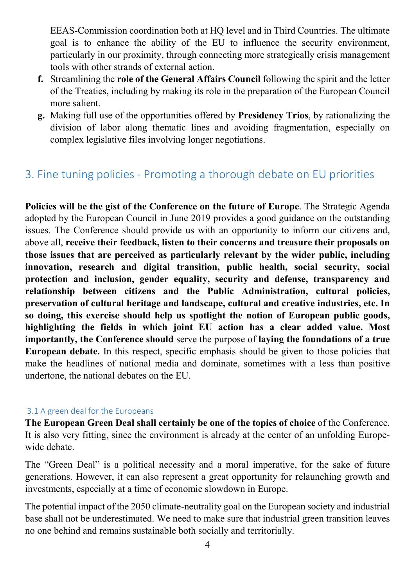EEAS-Commission coordination both at HQ level and in Third Countries. The ultimate goal is to enhance the ability of the EU to influence the security environment, particularly in our proximity, through connecting more strategically crisis management tools with other strands of external action.

- f. Streamlining the role of the General Affairs Council following the spirit and the letter of the Treaties, including by making its role in the preparation of the European Council more salient.
- g. Making full use of the opportunities offered by Presidency Trios, by rationalizing the division of labor along thematic lines and avoiding fragmentation, especially on complex legislative files involving longer negotiations.

# 3. Fine tuning policies - Promoting a thorough debate on EU priorities

Policies will be the gist of the Conference on the future of Europe. The Strategic Agenda adopted by the European Council in June 2019 provides a good guidance on the outstanding issues. The Conference should provide us with an opportunity to inform our citizens and, above all, receive their feedback, listen to their concerns and treasure their proposals on those issues that are perceived as particularly relevant by the wider public, including innovation, research and digital transition, public health, social security, social protection and inclusion, gender equality, security and defense, transparency and relationship between citizens and the Public Administration, cultural policies, preservation of cultural heritage and landscape, cultural and creative industries, etc. In so doing, this exercise should help us spotlight the notion of European public goods, highlighting the fields in which joint EU action has a clear added value. Most importantly, the Conference should serve the purpose of laying the foundations of a true European debate. In this respect, specific emphasis should be given to those policies that make the headlines of national media and dominate, sometimes with a less than positive undertone, the national debates on the EU.

#### 3.1 A green deal for the Europeans

The European Green Deal shall certainly be one of the topics of choice of the Conference. It is also very fitting, since the environment is already at the center of an unfolding Europewide debate.

The "Green Deal" is a political necessity and a moral imperative, for the sake of future generations. However, it can also represent a great opportunity for relaunching growth and investments, especially at a time of economic slowdown in Europe.

The potential impact of the 2050 climate-neutrality goal on the European society and industrial base shall not be underestimated. We need to make sure that industrial green transition leaves no one behind and remains sustainable both socially and territorially.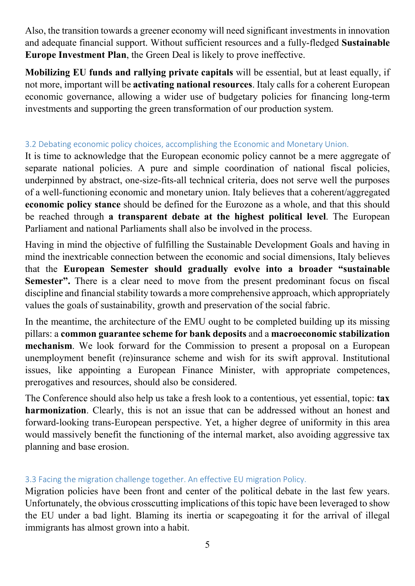Also, the transition towards a greener economy will need significant investments in innovation and adequate financial support. Without sufficient resources and a fully-fledged Sustainable Europe Investment Plan, the Green Deal is likely to prove ineffective.

Mobilizing EU funds and rallying private capitals will be essential, but at least equally, if not more, important will be activating national resources. Italy calls for a coherent European economic governance, allowing a wider use of budgetary policies for financing long-term investments and supporting the green transformation of our production system.

### 3.2 Debating economic policy choices, accomplishing the Economic and Monetary Union.

It is time to acknowledge that the European economic policy cannot be a mere aggregate of separate national policies. A pure and simple coordination of national fiscal policies, underpinned by abstract, one-size-fits-all technical criteria, does not serve well the purposes of a well-functioning economic and monetary union. Italy believes that a coherent/aggregated economic policy stance should be defined for the Eurozone as a whole, and that this should be reached through a transparent debate at the highest political level. The European Parliament and national Parliaments shall also be involved in the process.

Having in mind the objective of fulfilling the Sustainable Development Goals and having in mind the inextricable connection between the economic and social dimensions, Italy believes that the European Semester should gradually evolve into a broader "sustainable Semester". There is a clear need to move from the present predominant focus on fiscal discipline and financial stability towards a more comprehensive approach, which appropriately values the goals of sustainability, growth and preservation of the social fabric.

In the meantime, the architecture of the EMU ought to be completed building up its missing pillars: a common guarantee scheme for bank deposits and a macroeconomic stabilization mechanism. We look forward for the Commission to present a proposal on a European unemployment benefit (re)insurance scheme and wish for its swift approval. Institutional issues, like appointing a European Finance Minister, with appropriate competences, prerogatives and resources, should also be considered.

The Conference should also help us take a fresh look to a contentious, yet essential, topic: tax harmonization. Clearly, this is not an issue that can be addressed without an honest and forward-looking trans-European perspective. Yet, a higher degree of uniformity in this area would massively benefit the functioning of the internal market, also avoiding aggressive tax planning and base erosion.

### 3.3 Facing the migration challenge together. An effective EU migration Policy.

Migration policies have been front and center of the political debate in the last few years. Unfortunately, the obvious crosscutting implications of this topic have been leveraged to show the EU under a bad light. Blaming its inertia or scapegoating it for the arrival of illegal immigrants has almost grown into a habit.